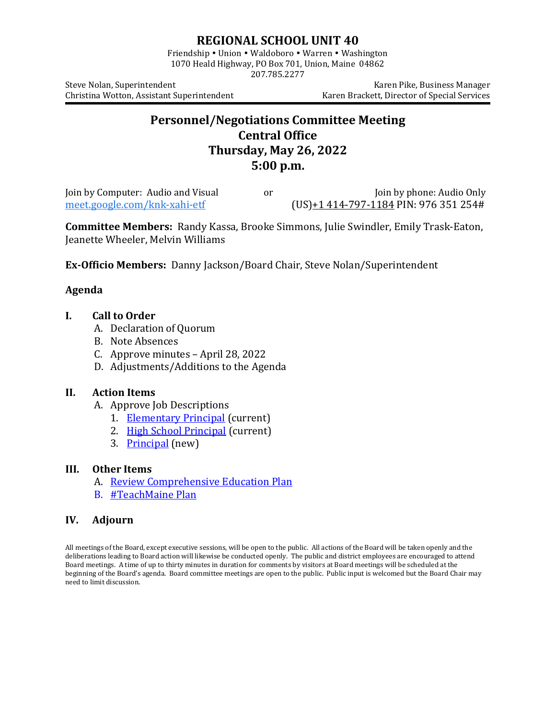# **REGIONAL SCHOOL UNIT 40**

Friendship • Union • Waldoboro • Warren • Washington 1070 Heald Highway, PO Box 701, Union, Maine 04862 207.785.2277

Christina Wotton, Assistant Superintendent

Steve Nolan, Superintendent<br>Christina Wotton, Assistant Superintendent (Karen Brackett, Director of Special Services

# **Personnel/Negotiations Committee Meeting Central Office Thursday, May 26, 2022 5:00 p.m.**

Join by Computer: Audio and Visual or Join by phone: Audio Only<br>meet.google.com/knk-xahi-etf (US)+1 414-797-1184 PIN: 976 351 254#  $(US) + 1414 - 797 - 1184$  PIN: 976 351 254#

**Committee Members:** Randy Kassa, Brooke Simmons, Julie Swindler, Emily Trask-Eaton, Jeanette Wheeler, Melvin Williams

**Ex-Officio Members:** Danny Jackson/Board Chair, Steve Nolan/Superintendent

# **Agenda**

## **I. Call to Order**

- A. Declaration of Quorum
- B. Note Absences
- C. Approve minutes April 28, 2022
- D. Adjustments/Additions to the Agenda

### **II. Action Items**

- A. Approve Job Descriptions
	- 1. [Elementary Principal](https://www.msad40.org/files/elementary_principal.pdf) (current)
	- 2. [High School Principal](https://www.msad40.org/files/high_school_principal.pdf) (current)
	- 3. [Principal](https://drive.google.com/file/d/1SANJd9q96JBZvlD7TCNQD0s9m7BGoNQ5/view?usp=sharing) (new)

### **III. Other Items**

- A. [Review Comprehensive Education Plan](https://www.msad40.org/files/RSU40_Comprehensive_Plan_7.6.2021.pdf)
- B. [#TeachMaine Plan](https://www.maine.gov/doe/sites/maine.gov.doe/files/inline-files/TeachMainePlan5.5_0.pdf)

### **IV. Adjourn**

All meetings of the Board, except executive sessions, will be open to the public. All actions of the Board will be taken openly and the deliberations leading to Board action will likewise be conducted openly. The public and district employees are encouraged to attend Board meetings. A time of up to thirty minutes in duration for comments by visitors at Board meetings will be scheduled at the beginning of the Board's agenda. Board committee meetings are open to the public. Public input is welcomed but the Board Chair may need to limit discussion.